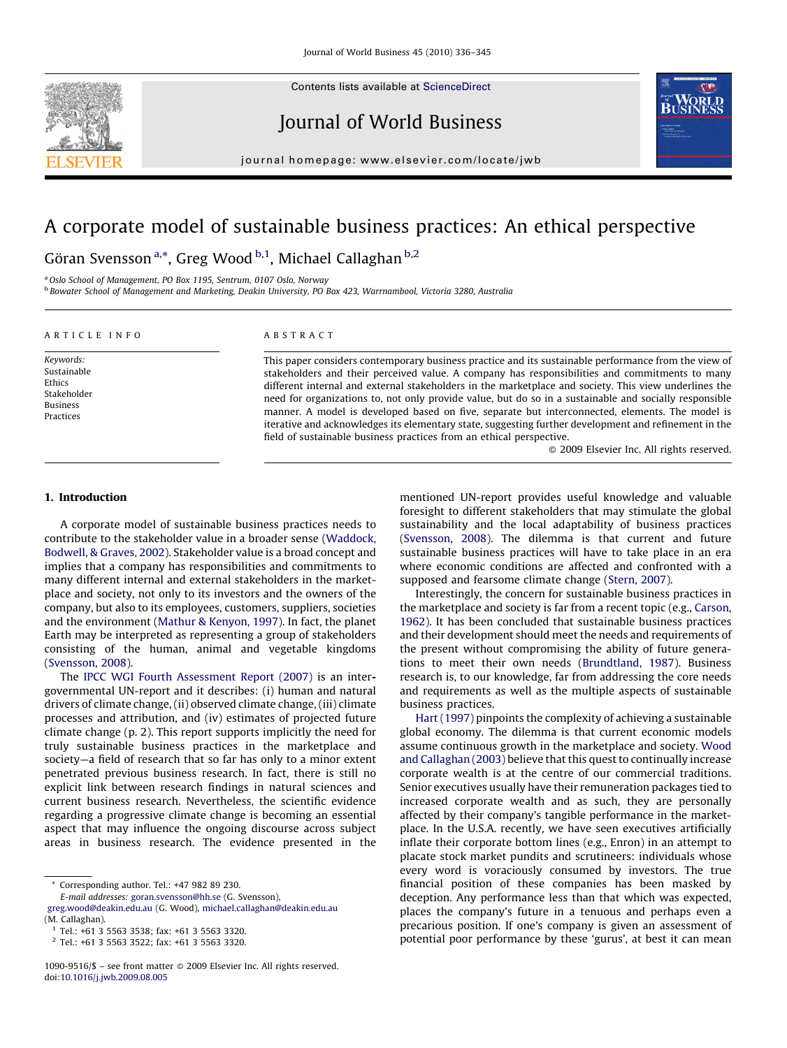Contents lists available at [ScienceDirect](http://www.sciencedirect.com/science/journal/10909516)



Journal of World Business



journal homepage: www.el sevier.com/locate/jwb

# A corporate model of sustainable business practices: An ethical perspective

Göran Svensson<sup>a,</sup>\*, Greg Wood <sup>b,1</sup>, Michael Callaghan <sup>b,2</sup>

<sup>a</sup> Oslo School of Management, PO Box 1195, Sentrum, 0107 Oslo, Norway <sup>b</sup> Bowater School of Management and Marketing, Deakin University, PO Box 423, Warrnambool, Victoria 3280, Australia

#### ARTICLE INFO

Keywords: Sustainable Ethics Stakeholder Business Practices

#### ABSTRACT

This paper considers contemporary business practice and its sustainable performance from the view of stakeholders and their perceived value. A company has responsibilities and commitments to many different internal and external stakeholders in the marketplace and society. This view underlines the need for organizations to, not only provide value, but do so in a sustainable and socially responsible manner. A model is developed based on five, separate but interconnected, elements. The model is iterative and acknowledges its elementary state, suggesting further development and refinement in the field of sustainable business practices from an ethical perspective.

 $\odot$  2009 Elsevier Inc. All rights reserved.

### 1. Introduction

A corporate model of sustainable business practices needs to contribute to the stakeholder value in a broader sense ([Waddock,](#page--1-0) [Bodwell, & Graves, 2002\)](#page--1-0). Stakeholder value is a broad concept and implies that a company has responsibilities and commitments to many different internal and external stakeholders in the marketplace and society, not only to its investors and the owners of the company, but also to its employees, customers, suppliers, societies and the environment ([Mathur & Kenyon, 1997\)](#page--1-0). In fact, the planet Earth may be interpreted as representing a group of stakeholders consisting of the human, animal and vegetable kingdoms ([Svensson, 2008\)](#page--1-0).

The [IPCC WGI Fourth Assessment Report \(2007\)](#page--1-0) is an intergovernmental UN-report and it describes: (i) human and natural drivers of climate change, (ii) observed climate change, (iii) climate processes and attribution, and (iv) estimates of projected future climate change (p. 2). This report supports implicitly the need for truly sustainable business practices in the marketplace and society—a field of research that so far has only to a minor extent penetrated previous business research. In fact, there is still no explicit link between research findings in natural sciences and current business research. Nevertheless, the scientific evidence regarding a progressive climate change is becoming an essential aspect that may influence the ongoing discourse across subject areas in business research. The evidence presented in the

Corresponding author. Tel.: +47 982 89 230.

E-mail addresses: [goran.svensson@hh.se](mailto:goran.svensson@hh.se) (G. Svensson), [greg.wood@deakin.edu.au](mailto:greg.wood@deakin.edu.au) (G. Wood), [michael.callaghan@deakin.edu.au](mailto:michael.callaghan@deakin.edu.au) (M. Callaghan).

mentioned UN-report provides useful knowledge and valuable foresight to different stakeholders that may stimulate the global sustainability and the local adaptability of business practices ([Svensson, 2008](#page--1-0)). The dilemma is that current and future sustainable business practices will have to take place in an era where economic conditions are affected and confronted with a supposed and fearsome climate change ([Stern, 2007](#page--1-0)).

Interestingly, the concern for sustainable business practices in the marketplace and society is far from a recent topic (e.g., [Carson,](#page--1-0) [1962](#page--1-0)). It has been concluded that sustainable business practices and their development should meet the needs and requirements of the present without compromising the ability of future generations to meet their own needs ([Brundtland, 1987\)](#page--1-0). Business research is, to our knowledge, far from addressing the core needs and requirements as well as the multiple aspects of sustainable business practices.

[Hart \(1997\)](#page--1-0) pinpoints the complexity of achieving a sustainable global economy. The dilemma is that current economic models assume continuous growth in the marketplace and society. [Wood](#page--1-0) [and Callaghan \(2003\)](#page--1-0) believe that this quest to continually increase corporate wealth is at the centre of our commercial traditions. Senior executives usually have their remuneration packages tied to increased corporate wealth and as such, they are personally affected by their company's tangible performance in the marketplace. In the U.S.A. recently, we have seen executives artificially inflate their corporate bottom lines (e.g., Enron) in an attempt to placate stock market pundits and scrutineers: individuals whose every word is voraciously consumed by investors. The true financial position of these companies has been masked by deception. Any performance less than that which was expected, places the company's future in a tenuous and perhaps even a precarious position. If one's company is given an assessment of potential poor performance by these 'gurus', at best it can mean

 $1$  Tel.: +61 3 5563 3538; fax: +61 3 5563 3320.

<sup>2</sup> Tel.: +61 3 5563 3522; fax: +61 3 5563 3320.

<sup>1090-9516/\$ -</sup> see front matter @ 2009 Elsevier Inc. All rights reserved. doi:[10.1016/j.jwb.2009.08.005](http://dx.doi.org/10.1016/j.jwb.2009.08.005)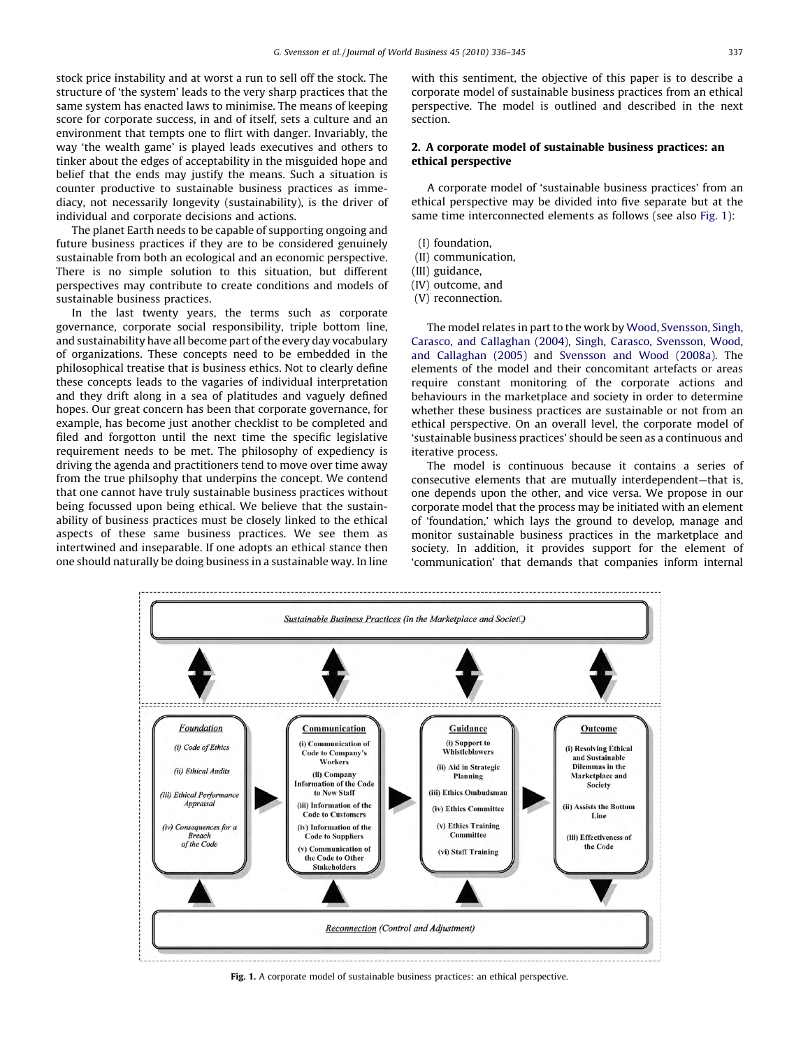stock price instability and at worst a run to sell off the stock. The structure of 'the system' leads to the very sharp practices that the same system has enacted laws to minimise. The means of keeping score for corporate success, in and of itself, sets a culture and an environment that tempts one to flirt with danger. Invariably, the way 'the wealth game' is played leads executives and others to tinker about the edges of acceptability in the misguided hope and belief that the ends may justify the means. Such a situation is counter productive to sustainable business practices as immediacy, not necessarily longevity (sustainability), is the driver of individual and corporate decisions and actions.

The planet Earth needs to be capable of supporting ongoing and future business practices if they are to be considered genuinely sustainable from both an ecological and an economic perspective. There is no simple solution to this situation, but different perspectives may contribute to create conditions and models of sustainable business practices.

In the last twenty years, the terms such as corporate governance, corporate social responsibility, triple bottom line, and sustainability have all become part of the every day vocabulary of organizations. These concepts need to be embedded in the philosophical treatise that is business ethics. Not to clearly define these concepts leads to the vagaries of individual interpretation and they drift along in a sea of platitudes and vaguely defined hopes. Our great concern has been that corporate governance, for example, has become just another checklist to be completed and filed and forgotton until the next time the specific legislative requirement needs to be met. The philosophy of expediency is driving the agenda and practitioners tend to move over time away from the true philsophy that underpins the concept. We contend that one cannot have truly sustainable business practices without being focussed upon being ethical. We believe that the sustainability of business practices must be closely linked to the ethical aspects of these same business practices. We see them as intertwined and inseparable. If one adopts an ethical stance then one should naturally be doing business in a sustainable way. In line

with this sentiment, the objective of this paper is to describe a corporate model of sustainable business practices from an ethical perspective. The model is outlined and described in the next section.

## 2. A corporate model of sustainable business practices: an ethical perspective

A corporate model of 'sustainable business practices' from an ethical perspective may be divided into five separate but at the same time interconnected elements as follows (see also Fig. 1):

- (I) foundation,
- (II) communication,
- (III) guidance,
- (IV) outcome, and
- (V) reconnection.

The model relates in part to the work by [Wood, Svensson, Singh,](#page--1-0) [Carasco, and Callaghan \(2004\)](#page--1-0), [Singh, Carasco, Svensson, Wood,](#page--1-0) [and Callaghan \(2005\)](#page--1-0) and [Svensson and Wood \(2008a\)](#page--1-0). The elements of the model and their concomitant artefacts or areas require constant monitoring of the corporate actions and behaviours in the marketplace and society in order to determine whether these business practices are sustainable or not from an ethical perspective. On an overall level, the corporate model of 'sustainable business practices' should be seen as a continuous and iterative process.

The model is continuous because it contains a series of consecutive elements that are mutually interdependent—that is, one depends upon the other, and vice versa. We propose in our corporate model that the process may be initiated with an element of 'foundation,' which lays the ground to develop, manage and monitor sustainable business practices in the marketplace and society. In addition, it provides support for the element of 'communication' that demands that companies inform internal



Fig. 1. A corporate model of sustainable business practices: an ethical perspective.